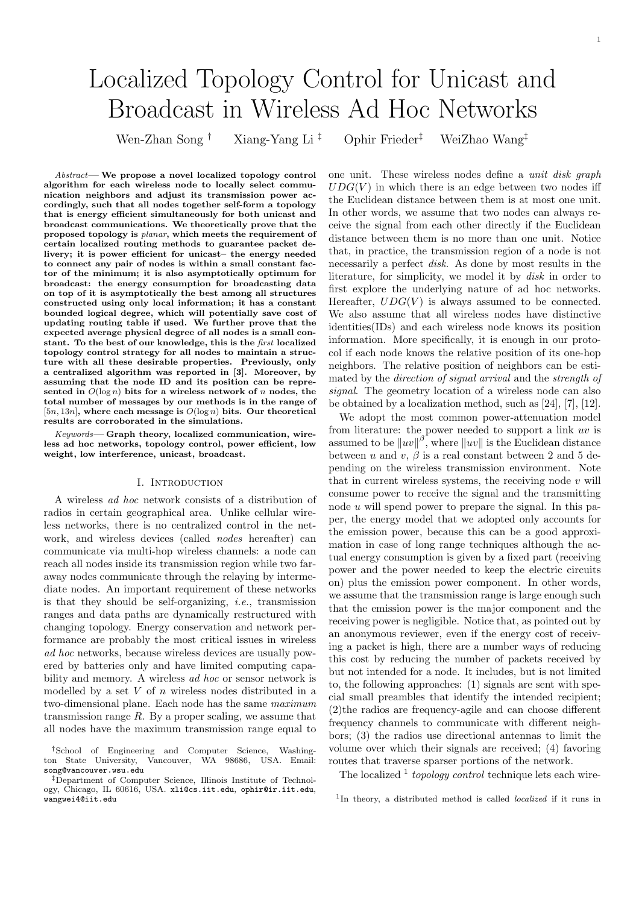# Localized Topology Control for Unicast and Broadcast in Wireless Ad Hoc Networks

Wen-Zhan Song † Xiang-Yang Li ‡ Ophir Frieder‡ WeiZhao Wang‡

Abstract— We propose a novel localized topology control algorithm for each wireless node to locally select communication neighbors and adjust its transmission power accordingly, such that all nodes together self-form a topology that is energy efficient simultaneously for both unicast and broadcast communications. We theoretically prove that the proposed topology is planar, which meets the requirement of certain localized routing methods to guarantee packet delivery; it is power efficient for unicast– the energy needed to connect any pair of nodes is within a small constant factor of the minimum; it is also asymptotically optimum for broadcast: the energy consumption for broadcasting data on top of it is asymptotically the best among all structures constructed using only local information; it has a constant bounded logical degree, which will potentially save cost of updating routing table if used. We further prove that the expected average physical degree of all nodes is a small constant. To the best of our knowledge, this is the first localized topology control strategy for all nodes to maintain a structure with all these desirable properties. Previously, only a centralized algorithm was reported in [3]. Moreover, by assuming that the node ID and its position can be represented in  $O(\log n)$  bits for a wireless network of n nodes, the total number of messages by our methods is in the range of [5n, 13n], where each message is  $O(\log n)$  bits. Our theoretical results are corroborated in the simulations.

Keywords— Graph theory, localized communication, wireless ad hoc networks, topology control, power efficient, low weight, low interference, unicast, broadcast.

#### I. INTRODUCTION

A wireless ad hoc network consists of a distribution of radios in certain geographical area. Unlike cellular wireless networks, there is no centralized control in the network, and wireless devices (called nodes hereafter) can communicate via multi-hop wireless channels: a node can reach all nodes inside its transmission region while two faraway nodes communicate through the relaying by intermediate nodes. An important requirement of these networks is that they should be self-organizing, *i.e.*, transmission ranges and data paths are dynamically restructured with changing topology. Energy conservation and network performance are probably the most critical issues in wireless ad hoc networks, because wireless devices are usually powered by batteries only and have limited computing capability and memory. A wireless ad hoc or sensor network is modelled by a set  $V$  of  $n$  wireless nodes distributed in a two-dimensional plane. Each node has the same maximum transmission range  $R$ . By a proper scaling, we assume that all nodes have the maximum transmission range equal to

one unit. These wireless nodes define a unit disk graph  $UDG(V)$  in which there is an edge between two nodes iff the Euclidean distance between them is at most one unit. In other words, we assume that two nodes can always receive the signal from each other directly if the Euclidean distance between them is no more than one unit. Notice that, in practice, the transmission region of a node is not necessarily a perfect disk. As done by most results in the literature, for simplicity, we model it by disk in order to first explore the underlying nature of ad hoc networks. Hereafter,  $UDG(V)$  is always assumed to be connected. We also assume that all wireless nodes have distinctive identities(IDs) and each wireless node knows its position information. More specifically, it is enough in our protocol if each node knows the relative position of its one-hop neighbors. The relative position of neighbors can be estimated by the direction of signal arrival and the strength of signal. The geometry location of a wireless node can also be obtained by a localization method, such as [24], [7], [12].

We adopt the most common power-attenuation model from literature: the power needed to support a link uv is assumed to be  $\|uv\|^{\beta}$ , where  $\|uv\|$  is the Euclidean distance between u and v,  $\beta$  is a real constant between 2 and 5 depending on the wireless transmission environment. Note that in current wireless systems, the receiving node  $v$  will consume power to receive the signal and the transmitting node u will spend power to prepare the signal. In this paper, the energy model that we adopted only accounts for the emission power, because this can be a good approximation in case of long range techniques although the actual energy consumption is given by a fixed part (receiving power and the power needed to keep the electric circuits on) plus the emission power component. In other words, we assume that the transmission range is large enough such that the emission power is the major component and the receiving power is negligible. Notice that, as pointed out by an anonymous reviewer, even if the energy cost of receiving a packet is high, there are a number ways of reducing this cost by reducing the number of packets received by but not intended for a node. It includes, but is not limited to, the following approaches: (1) signals are sent with special small preambles that identify the intended recipient; (2)the radios are frequency-agile and can choose different frequency channels to communicate with different neighbors; (3) the radios use directional antennas to limit the volume over which their signals are received; (4) favoring routes that traverse sparser portions of the network.

The localized  $\frac{1}{1}$  topology control technique lets each wire-

<sup>1</sup>In theory, a distributed method is called *localized* if it runs in

<sup>†</sup>School of Engineering and Computer Science, Washington State University, Vancouver, song@vancouver.wsu.edu

<sup>‡</sup>Department of Computer Science, Illinois Institute of Technology, Chicago, IL 60616, USA. xli@cs.iit.edu, ophir@ir.iit.edu, wangwei4@iit.edu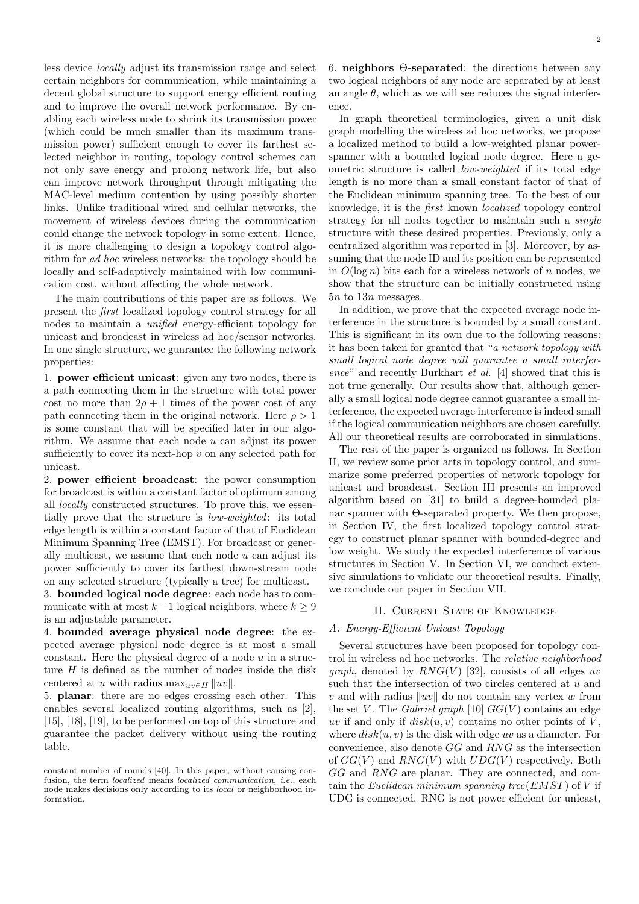less device locally adjust its transmission range and select certain neighbors for communication, while maintaining a decent global structure to support energy efficient routing and to improve the overall network performance. By enabling each wireless node to shrink its transmission power (which could be much smaller than its maximum transmission power) sufficient enough to cover its farthest selected neighbor in routing, topology control schemes can not only save energy and prolong network life, but also can improve network throughput through mitigating the MAC-level medium contention by using possibly shorter links. Unlike traditional wired and cellular networks, the movement of wireless devices during the communication could change the network topology in some extent. Hence, it is more challenging to design a topology control algorithm for ad hoc wireless networks: the topology should be locally and self-adaptively maintained with low communication cost, without affecting the whole network.

The main contributions of this paper are as follows. We present the first localized topology control strategy for all nodes to maintain a unified energy-efficient topology for unicast and broadcast in wireless ad hoc/sensor networks. In one single structure, we guarantee the following network properties:

1. power efficient unicast: given any two nodes, there is a path connecting them in the structure with total power cost no more than  $2\rho + 1$  times of the power cost of any path connecting them in the original network. Here  $\rho > 1$ is some constant that will be specified later in our algorithm. We assume that each node  $u$  can adjust its power sufficiently to cover its next-hop  $v$  on any selected path for unicast.

2. power efficient broadcast: the power consumption for broadcast is within a constant factor of optimum among all locally constructed structures. To prove this, we essentially prove that the structure is low-weighted: its total edge length is within a constant factor of that of Euclidean Minimum Spanning Tree (EMST). For broadcast or generally multicast, we assume that each node  $u$  can adjust its power sufficiently to cover its farthest down-stream node on any selected structure (typically a tree) for multicast.

3. bounded logical node degree: each node has to communicate with at most  $k-1$  logical neighbors, where  $k \geq 9$ is an adjustable parameter.

4. bounded average physical node degree: the expected average physical node degree is at most a small constant. Here the physical degree of a node  $u$  in a structure  $H$  is defined as the number of nodes inside the disk centered at u with radius  $\max_{uv \in H} ||uv||$ .

5. planar: there are no edges crossing each other. This enables several localized routing algorithms, such as [2], [15], [18], [19], to be performed on top of this structure and guarantee the packet delivery without using the routing table.

6. neighbors Θ-separated: the directions between any two logical neighbors of any node are separated by at least an angle  $\theta$ , which as we will see reduces the signal interference.

In graph theoretical terminologies, given a unit disk graph modelling the wireless ad hoc networks, we propose a localized method to build a low-weighted planar powerspanner with a bounded logical node degree. Here a geometric structure is called low-weighted if its total edge length is no more than a small constant factor of that of the Euclidean minimum spanning tree. To the best of our knowledge, it is the first known localized topology control strategy for all nodes together to maintain such a single structure with these desired properties. Previously, only a centralized algorithm was reported in [3]. Moreover, by assuming that the node ID and its position can be represented in  $O(\log n)$  bits each for a wireless network of n nodes, we show that the structure can be initially constructed using 5n to 13n messages.

In addition, we prove that the expected average node interference in the structure is bounded by a small constant. This is significant in its own due to the following reasons: it has been taken for granted that "a network topology with small logical node degree will guarantee a small interference" and recently Burkhart et al. [4] showed that this is not true generally. Our results show that, although generally a small logical node degree cannot guarantee a small interference, the expected average interference is indeed small if the logical communication neighbors are chosen carefully. All our theoretical results are corroborated in simulations.

The rest of the paper is organized as follows. In Section II, we review some prior arts in topology control, and summarize some preferred properties of network topology for unicast and broadcast. Section III presents an improved algorithm based on [31] to build a degree-bounded planar spanner with Θ-separated property. We then propose, in Section IV, the first localized topology control strategy to construct planar spanner with bounded-degree and low weight. We study the expected interference of various structures in Section V. In Section VI, we conduct extensive simulations to validate our theoretical results. Finally, we conclude our paper in Section VII.

# II. CURRENT STATE OF KNOWLEDGE

### A. Energy-Efficient Unicast Topology

Several structures have been proposed for topology control in wireless ad hoc networks. The relative neighborhood *graph*, denoted by  $RNG(V)$  [32], consists of all edges uv such that the intersection of two circles centered at  $u$  and v and with radius  $||uv||$  do not contain any vertex w from the set V. The Gabriel graph [10]  $GG(V)$  contains an edge uv if and only if  $disk(u, v)$  contains no other points of V, where  $disk(u, v)$  is the disk with edge uv as a diameter. For convenience, also denote GG and RNG as the intersection of  $GG(V)$  and  $RNG(V)$  with  $UDG(V)$  respectively. Both GG and RNG are planar. They are connected, and contain the Euclidean minimum spanning tree  $(EMST)$  of V if UDG is connected. RNG is not power efficient for unicast,

constant number of rounds [40]. In this paper, without causing confusion, the term *localized* means *localized communication*, *i.e.*, each node makes decisions only according to its local or neighborhood information.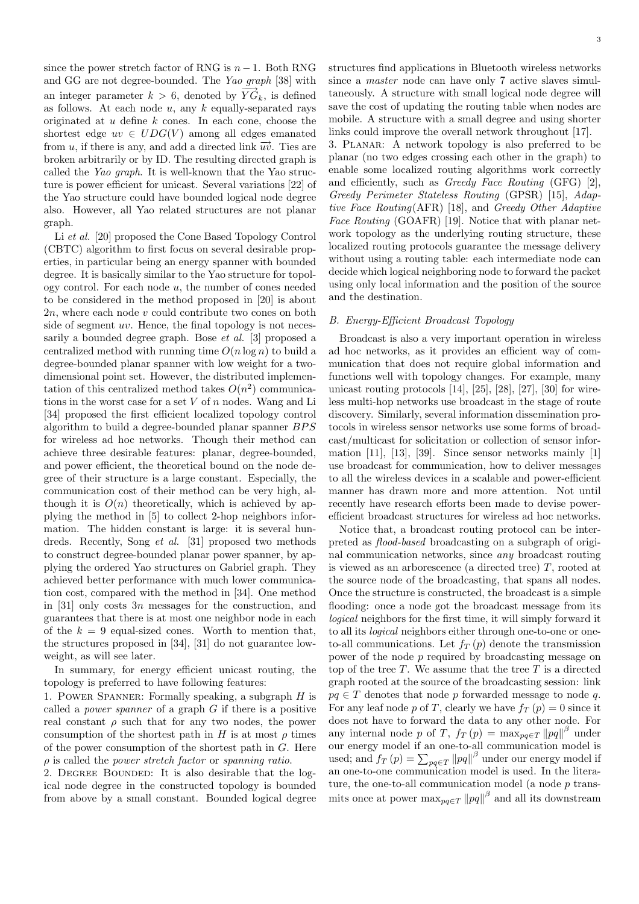since the power stretch factor of RNG is  $n-1$ . Both RNG and GG are not degree-bounded. The Yao graph [38] with an integer parameter  $k > 6$ , denoted by  $\overrightarrow{YG}_k$ , is defined as follows. At each node  $u$ , any  $k$  equally-separated rays originated at  $u$  define  $k$  cones. In each cone, choose the shortest edge  $uv \in UDG(V)$  among all edges emanated from u, if there is any, and add a directed link  $\overrightarrow{uv}$ . Ties are broken arbitrarily or by ID. The resulting directed graph is called the Yao graph. It is well-known that the Yao structure is power efficient for unicast. Several variations [22] of the Yao structure could have bounded logical node degree also. However, all Yao related structures are not planar graph.

Li et al. [20] proposed the Cone Based Topology Control (CBTC) algorithm to first focus on several desirable properties, in particular being an energy spanner with bounded degree. It is basically similar to the Yao structure for topology control. For each node  $u$ , the number of cones needed to be considered in the method proposed in [20] is about  $2n$ , where each node v could contribute two cones on both side of segment uv. Hence, the final topology is not necessarily a bounded degree graph. Bose et al. [3] proposed a centralized method with running time  $O(n \log n)$  to build a degree-bounded planar spanner with low weight for a twodimensional point set. However, the distributed implementation of this centralized method takes  $O(n^2)$  communications in the worst case for a set  $V$  of  $n$  nodes. Wang and Li [34] proposed the first efficient localized topology control algorithm to build a degree-bounded planar spanner BPS for wireless ad hoc networks. Though their method can achieve three desirable features: planar, degree-bounded, and power efficient, the theoretical bound on the node degree of their structure is a large constant. Especially, the communication cost of their method can be very high, although it is  $O(n)$  theoretically, which is achieved by applying the method in [5] to collect 2-hop neighbors information. The hidden constant is large: it is several hundreds. Recently, Song et al. [31] proposed two methods to construct degree-bounded planar power spanner, by applying the ordered Yao structures on Gabriel graph. They achieved better performance with much lower communication cost, compared with the method in [34]. One method in [31] only costs 3n messages for the construction, and guarantees that there is at most one neighbor node in each of the  $k = 9$  equal-sized cones. Worth to mention that, the structures proposed in [34], [31] do not guarantee lowweight, as will see later.

In summary, for energy efficient unicast routing, the topology is preferred to have following features:

1. Power Spanner: Formally speaking, a subgraph H is called a *power spanner* of a graph  $G$  if there is a positive real constant  $\rho$  such that for any two nodes, the power consumption of the shortest path in H is at most  $\rho$  times of the power consumption of the shortest path in  $G$ . Here  $\rho$  is called the *power stretch factor* or *spanning ratio*.

2. DEGREE BOUNDED: It is also desirable that the logical node degree in the constructed topology is bounded from above by a small constant. Bounded logical degree structures find applications in Bluetooth wireless networks since a master node can have only 7 active slaves simultaneously. A structure with small logical node degree will save the cost of updating the routing table when nodes are mobile. A structure with a small degree and using shorter links could improve the overall network throughout [17].

3. Planar: A network topology is also preferred to be planar (no two edges crossing each other in the graph) to enable some localized routing algorithms work correctly and efficiently, such as Greedy Face Routing (GFG) [2], Greedy Perimeter Stateless Routing (GPSR) [15], Adaptive Face Routing(AFR) [18], and Greedy Other Adaptive Face Routing (GOAFR) [19]. Notice that with planar network topology as the underlying routing structure, these localized routing protocols guarantee the message delivery without using a routing table: each intermediate node can decide which logical neighboring node to forward the packet using only local information and the position of the source and the destination.

# B. Energy-Efficient Broadcast Topology

Broadcast is also a very important operation in wireless ad hoc networks, as it provides an efficient way of communication that does not require global information and functions well with topology changes. For example, many unicast routing protocols [14], [25], [28], [27], [30] for wireless multi-hop networks use broadcast in the stage of route discovery. Similarly, several information dissemination protocols in wireless sensor networks use some forms of broadcast/multicast for solicitation or collection of sensor information [11], [13], [39]. Since sensor networks mainly [1] use broadcast for communication, how to deliver messages to all the wireless devices in a scalable and power-efficient manner has drawn more and more attention. Not until recently have research efforts been made to devise powerefficient broadcast structures for wireless ad hoc networks.

Notice that, a broadcast routing protocol can be interpreted as flood-based broadcasting on a subgraph of original communication networks, since any broadcast routing is viewed as an arborescence (a directed tree)  $T$ , rooted at the source node of the broadcasting, that spans all nodes. Once the structure is constructed, the broadcast is a simple flooding: once a node got the broadcast message from its logical neighbors for the first time, it will simply forward it to all its logical neighbors either through one-to-one or oneto-all communications. Let  $f_T(p)$  denote the transmission power of the node p required by broadcasting message on top of the tree  $T$ . We assume that the tree  $T$  is a directed graph rooted at the source of the broadcasting session: link  $pq \in T$  denotes that node p forwarded message to node q. For any leaf node p of T, clearly we have  $f_T(p) = 0$  since it does not have to forward the data to any other node. For any internal node p of T,  $f_T(p) = \max_{pq \in T} ||pq||^{\beta}$  under our energy model if an one-to-all communication model is our energy model if an one-to-all communication model is<br>used; and  $f_T(p) = \sum_{pq \in T} ||pq||^{\beta}$  under our energy model if an one-to-one communication model is used. In the literature, the one-to-all communication model (a node  $p$  transmits once at power  $\max_{pq \in T} ||pq||^{\beta}$  and all its downstream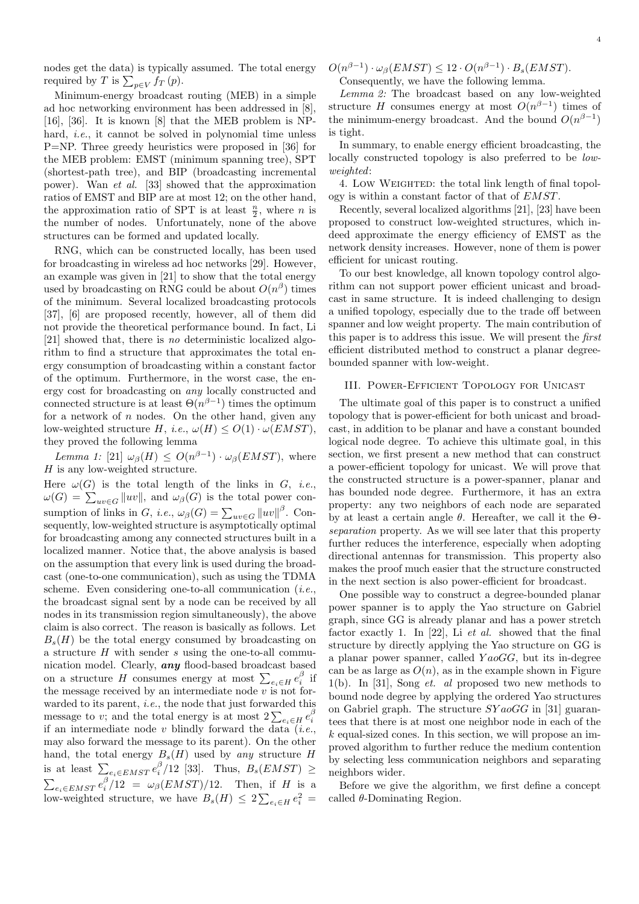nodes get the data) is typically assumed. The total energy required by T is  $\sum_{p \in V} f_T(p)$ .

Minimum-energy broadcast routing (MEB) in a simple ad hoc networking environment has been addressed in [8], [16], [36]. It is known [8] that the MEB problem is NPhard, *i.e.*, it cannot be solved in polynomial time unless P=NP. Three greedy heuristics were proposed in [36] for the MEB problem: EMST (minimum spanning tree), SPT (shortest-path tree), and BIP (broadcasting incremental power). Wan et al. [33] showed that the approximation ratios of EMST and BIP are at most 12; on the other hand, the approximation ratio of SPT is at least  $\frac{n}{2}$ , where *n* is the number of nodes. Unfortunately, none of the above structures can be formed and updated locally.

RNG, which can be constructed locally, has been used for broadcasting in wireless ad hoc networks [29]. However, an example was given in [21] to show that the total energy used by broadcasting on RNG could be about  $O(n^{\beta})$  times of the minimum. Several localized broadcasting protocols [37], [6] are proposed recently, however, all of them did not provide the theoretical performance bound. In fact, Li [21] showed that, there is no deterministic localized algorithm to find a structure that approximates the total energy consumption of broadcasting within a constant factor of the optimum. Furthermore, in the worst case, the energy cost for broadcasting on any locally constructed and connected structure is at least  $\Theta(n^{\beta-1})$  times the optimum for a network of  $n$  nodes. On the other hand, given any low-weighted structure H, i.e.,  $\omega(H) \leq O(1) \cdot \omega(EMST)$ , they proved the following lemma

Lemma 1: [21]  $\omega_{\beta}(H) \leq O(n^{\beta-1}) \cdot \omega_{\beta}(EMST)$ , where  $H$  is any low-weighted structure.

Here  $\omega(G)$  is the total length of the links in G, *i.e.*, Here  $\omega(G)$  is the total length of the links in G, *i.e.*,<br>  $\omega(G) = \sum_{uv \in G} ||uv||$ , and  $\omega_{\beta}(G)$  is the total power consumption of links in G, *i.e.*,  $\omega_{\beta}(G) = \sum_{uv \in G} ||uv||^{\beta}$ . Consequently, low-weighted structure is asymptotically optimal for broadcasting among any connected structures built in a localized manner. Notice that, the above analysis is based on the assumption that every link is used during the broadcast (one-to-one communication), such as using the TDMA scheme. Even considering one-to-all communication  $(i.e.,$ the broadcast signal sent by a node can be received by all nodes in its transmission region simultaneously), the above claim is also correct. The reason is basically as follows. Let  $B_s(H)$  be the total energy consumed by broadcasting on a structure  $H$  with sender  $s$  using the one-to-all communication model. Clearly, any flood-based broadcast based meation model. Clearly, **any** nood-based broadcast based<br>on a structure H consumes energy at most  $\sum_{e_i \in H} e_i^{\beta}$  if the message received by an intermediate node  $v$  is not forwarded to its parent, *i.e.*, the node that just forwarded this warded to its parent, *i.e.*, the node that just forwarded this message to v; and the total energy is at most  $2\sum_{e_i \in H} e_i^{\beta}$ if an intermediate node v blindly forward the data  $(i.e.,$ may also forward the message to its parent). On the other hand, the total energy  $B_s(H)$  used by any structure H mand, the total energy  $B_s(H)$  used by any structure  $H$ <br>is at least  $\sum_{e_i \in EMST} e_i^{\beta}/12$  [33]. Thus,  $B_s(EMST) \ge$ <br> $\sum_{e_i \in EMST} e_i^{\beta}/12 = \omega_{\beta}(EMST)/12$ . Then, if H is a  $\sum_{e_i \in EMST} \epsilon_i / 12 = \omega_\beta (EMST) / 12.$  Then, if H is a<br>low-weighted structure, we have  $B_s(H) \leq 2 \sum_{e_i \in H} e_i^2 =$   $O(n^{\beta-1}) \cdot \omega_{\beta}(EMST) \leq 12 \cdot O(n^{\beta-1}) \cdot B_s(EMST).$ Consequently, we have the following lemma.

Lemma 2: The broadcast based on any low-weighted structure H consumes energy at most  $O(n^{\beta-1})$  times of the minimum-energy broadcast. And the bound  $O(n^{\beta-1})$ is tight.

In summary, to enable energy efficient broadcasting, the locally constructed topology is also preferred to be *low*weighted:

4. Low Weighted: the total link length of final topology is within a constant factor of that of EMST.

Recently, several localized algorithms [21], [23] have been proposed to construct low-weighted structures, which indeed approximate the energy efficiency of EMST as the network density increases. However, none of them is power efficient for unicast routing.

To our best knowledge, all known topology control algorithm can not support power efficient unicast and broadcast in same structure. It is indeed challenging to design a unified topology, especially due to the trade off between spanner and low weight property. The main contribution of this paper is to address this issue. We will present the first efficient distributed method to construct a planar degreebounded spanner with low-weight.

## III. Power-Efficient Topology for Unicast

The ultimate goal of this paper is to construct a unified topology that is power-efficient for both unicast and broadcast, in addition to be planar and have a constant bounded logical node degree. To achieve this ultimate goal, in this section, we first present a new method that can construct a power-efficient topology for unicast. We will prove that the constructed structure is a power-spanner, planar and has bounded node degree. Furthermore, it has an extra property: any two neighbors of each node are separated by at least a certain angle  $\theta$ . Hereafter, we call it the  $\Theta$ separation property. As we will see later that this property further reduces the interference, especially when adopting directional antennas for transmission. This property also makes the proof much easier that the structure constructed in the next section is also power-efficient for broadcast.

One possible way to construct a degree-bounded planar power spanner is to apply the Yao structure on Gabriel graph, since GG is already planar and has a power stretch factor exactly 1. In [22], Li et al. showed that the final structure by directly applying the Yao structure on GG is a planar power spanner, called  $Ya\circ GG$ , but its in-degree can be as large as  $O(n)$ , as in the example shown in Figure 1(b). In [31], Song *et. al* proposed two new methods to bound node degree by applying the ordered Yao structures on Gabriel graph. The structure  $SYaoGG$  in [31] guarantees that there is at most one neighbor node in each of the  $k$  equal-sized cones. In this section, we will propose an improved algorithm to further reduce the medium contention by selecting less communication neighbors and separating neighbors wider.

Before we give the algorithm, we first define a concept called  $\theta$ -Dominating Region.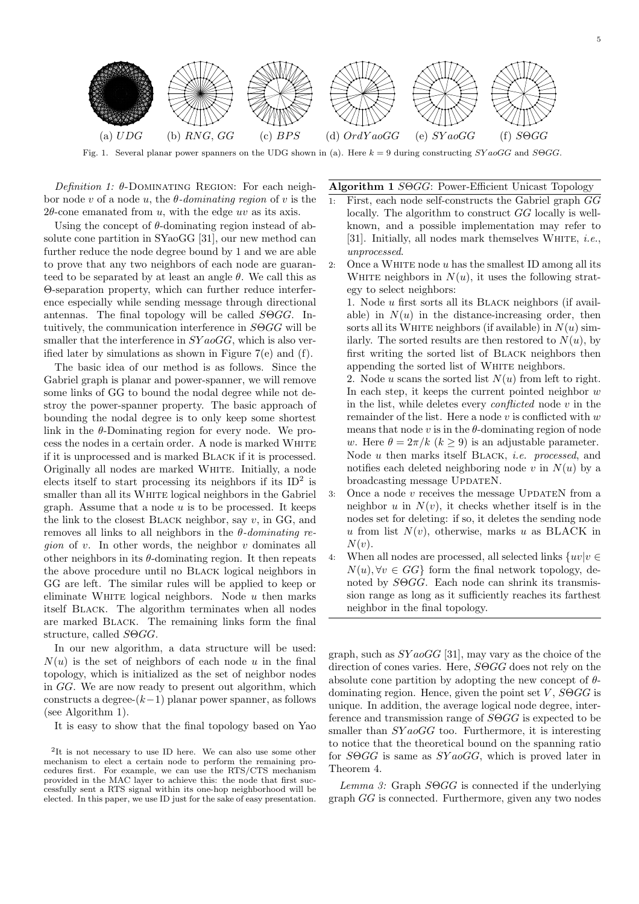

Fig. 1. Several planar power spanners on the UDG shown in (a). Here  $k = 9$  during constructing  $SYaoGG$  and  $S0GG$ .

Definition 1:  $\theta$ -DOMINATING REGION: For each neighbor node v of a node u, the  $\theta$ -dominating region of v is the  $2\theta$ -cone emanated from u, with the edge uv as its axis.

Using the concept of  $\theta$ -dominating region instead of absolute cone partition in SYaoGG [31], our new method can further reduce the node degree bound by 1 and we are able to prove that any two neighbors of each node are guaranteed to be separated by at least an angle  $\theta$ . We call this as Θ-separation property, which can further reduce interference especially while sending message through directional antennas. The final topology will be called  $S\Theta GG$ . Intuitively, the communication interference in SΘGG will be smaller that the interference in  $SYaoGG$ , which is also verified later by simulations as shown in Figure 7(e) and (f).

The basic idea of our method is as follows. Since the Gabriel graph is planar and power-spanner, we will remove some links of GG to bound the nodal degree while not destroy the power-spanner property. The basic approach of bounding the nodal degree is to only keep some shortest link in the  $\theta$ -Dominating region for every node. We process the nodes in a certain order. A node is marked WHITE if it is unprocessed and is marked Black if it is processed. Originally all nodes are marked WHITE. Initially, a node elects itself to start processing its neighbors if its  $ID<sup>2</sup>$  is smaller than all its WHITE logical neighbors in the Gabriel graph. Assume that a node  $u$  is to be processed. It keeps the link to the closest BLACK neighbor, say  $v$ , in GG, and removes all links to all neighbors in the  $\theta$ -dominating re*gion* of  $v$ . In other words, the neighbor  $v$  dominates all other neighbors in its  $\theta$ -dominating region. It then repeats the above procedure until no Black logical neighbors in GG are left. The similar rules will be applied to keep or eliminate WHITE logical neighbors. Node  $u$  then marks itself Black. The algorithm terminates when all nodes are marked Black. The remaining links form the final structure, called  $S\Theta GG$ .

In our new algorithm, a data structure will be used:  $N(u)$  is the set of neighbors of each node u in the final topology, which is initialized as the set of neighbor nodes in GG. We are now ready to present out algorithm, which constructs a degree- $(k-1)$  planar power spanner, as follows (see Algorithm 1).

It is easy to show that the final topology based on Yao

Algorithm 1 SΘGG: Power-Efficient Unicast Topology

- 1: First, each node self-constructs the Gabriel graph GG locally. The algorithm to construct GG locally is wellknown, and a possible implementation may refer to [31]. Initially, all nodes mark themselves WHITE, *i.e.*, unprocessed.
- 2: Once a WHITE node  $u$  has the smallest ID among all its WHITE neighbors in  $N(u)$ , it uses the following strategy to select neighbors:
	- 1. Node u first sorts all its Black neighbors (if available) in  $N(u)$  in the distance-increasing order, then sorts all its WHITE neighbors (if available) in  $N(u)$  similarly. The sorted results are then restored to  $N(u)$ , by first writing the sorted list of Black neighbors then appending the sorted list of WHITE neighbors.

2. Node u scans the sorted list  $N(u)$  from left to right. In each step, it keeps the current pointed neighbor  $w$ in the list, while deletes every *conflicted* node  $v$  in the remainder of the list. Here a node  $v$  is conflicted with  $w$ means that node  $v$  is in the  $\theta$ -dominating region of node w. Here  $\theta = 2\pi/k$   $(k > 9)$  is an adjustable parameter. Node u then marks itself BLACK, *i.e.* processed, and notifies each deleted neighboring node v in  $N(u)$  by a broadcasting message UPDATEN.

- 3: Once a node  $v$  receives the message UPDATEN from a neighbor u in  $N(v)$ , it checks whether itself is in the nodes set for deleting: if so, it deletes the sending node u from list  $N(v)$ , otherwise, marks u as BLACK in  $N(v)$ .
- 4: When all nodes are processed, all selected links  $\{uv|v \in$  $N(u)$ ,  $\forall v \in GG$  form the final network topology, denoted by  $S \Theta G G$ . Each node can shrink its transmission range as long as it sufficiently reaches its farthest neighbor in the final topology.

graph, such as  $SYa_0GG$  [31], may vary as the choice of the direction of cones varies. Here,  $S\Theta GG$  does not rely on the absolute cone partition by adopting the new concept of  $\theta$ dominating region. Hence, given the point set V,  $S \Theta G G$  is unique. In addition, the average logical node degree, interference and transmission range of SΘGG is expected to be smaller than  $SYaoGG$  too. Furthermore, it is interesting to notice that the theoretical bound on the spanning ratio for  $S \Theta G G$  is same as  $SYa \circ GG$ , which is proved later in Theorem 4.

 $Lemma 3: Graph S<sub>0</sub>GG is connected if the underlying$ graph GG is connected. Furthermore, given any two nodes

<sup>2</sup> It is not necessary to use ID here. We can also use some other mechanism to elect a certain node to perform the remaining procedures first. For example, we can use the RTS/CTS mechanism provided in the MAC layer to achieve this: the node that first successfully sent a RTS signal within its one-hop neighborhood will be elected. In this paper, we use ID just for the sake of easy presentation.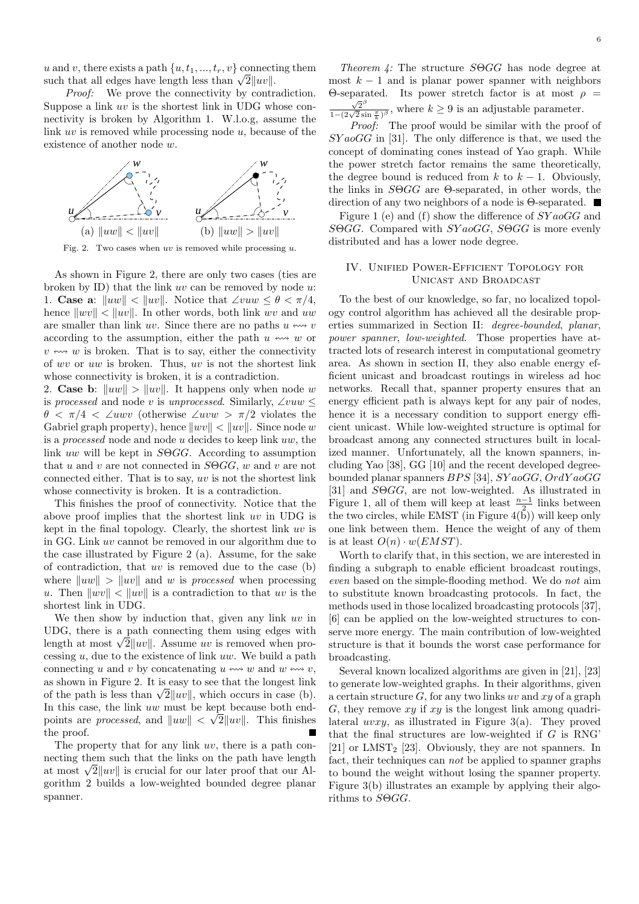u and v, there exists a path  $\{u, t_1, ..., t_r, v\}$  connecting them u and v, there exists a path  $\{u, t_1, ..., t_r, v\}$  connects<br>such that all edges have length less than  $\sqrt{2}||uv||$ .

Proof: We prove the connectivity by contradiction. Suppose a link uv is the shortest link in UDG whose connectivity is broken by Algorithm 1. W.l.o.g, assume the link uv is removed while processing node u, because of the existence of another node w.



Fig. 2. Two cases when  $uv$  is removed while processing  $u$ .

As shown in Figure 2, there are only two cases (ties are broken by ID) that the link  $uv$  can be removed by node  $u$ : 1. **Case a**:  $\|uw\| < \|uv\|$ . Notice that ∠vuw  $\leq \theta < \pi/4$ , hence  $\|wv\| < \|uv\|$ . In other words, both link wv and uw are smaller than link uv. Since there are no paths  $u \leftrightarrow v$ according to the assumption, either the path  $u \leftrightarrow w$  or  $v \leftrightarrow w$  is broken. That is to say, either the connectivity of wv or uw is broken. Thus, uv is not the shortest link whose connectivity is broken, it is a contradiction.

2. **Case b:**  $\|uw\| > \|uv\|$ . It happens only when node w is processed and node v is unprocessed. Similarly,  $\angle vuw \leq$ θ < π/4 < ∠uwv (otherwise ∠uvw > π/2 violates the Gabriel graph property), hence  $\|wv\| < \|uv\|$ . Since node w is a processed node and node u decides to keep link uw, the link uw will be kept in SΘGG. According to assumption that u and v are not connected in  $S \odot G G$ , w and v are not connected either. That is to say, uv is not the shortest link whose connectivity is broken. It is a contradiction.

This finishes the proof of connectivity. Notice that the above proof implies that the shortest link uv in UDG is kept in the final topology. Clearly, the shortest link uv is in GG. Link uv cannot be removed in our algorithm due to the case illustrated by Figure 2 (a). Assume, for the sake of contradiction, that  $uv$  is removed due to the case (b) where  $\|uw\| > \|uv\|$  and w is processed when processing u. Then  $\|wv\| < \|uv\|$  is a contradiction to that uv is the shortest link in UDG.

We then show by induction that, given any link  $uv$  in UDG, there is a path connecting them using edges with UDG, there is a path connecting them using edges with<br>length at most  $\sqrt{2}||uv||$ . Assume uv is removed when processing  $u$ , due to the existence of link  $uw$ . We build a path connecting u and v by concatenating u  $\leftrightarrow$  w and w  $\leftrightarrow$  v, as shown in Figure 2. It is easy to see that the longest link as shown in Figure 2. It is easy to see that the longest link<br>of the path is less than  $\sqrt{2}||uv||$ , which occurs in case (b). In this case, the link  $uw$  must be kept because both endpoints are *processed*, and  $||uw|| < \sqrt{2}||uv||$ . This finishes the proof.  $\overline{\phantom{a}}$ 

The property that for any link uv, there is a path connecting them such that the links on the path have length necting them such that the links on the path have length<br>at most  $\sqrt{2}||uv||$  is crucial for our later proof that our Algorithm 2 builds a low-weighted bounded degree planar spanner.

Theorem 4: The structure SΘGG has node degree at most  $k - 1$  and is planar power spanner with neighbors Θ-separated. Its power stretch factor is at most  $ρ =$  $\frac{\sqrt{2}^{\beta}}{1-(2\sqrt{2}\sin\frac{\pi}{k})^{\beta}}$ , where  $k \geq 9$  is an adjustable parameter.

Proof: The proof would be similar with the proof of  $SYaoGG$  in [31]. The only difference is that, we used the concept of dominating cones instead of Yao graph. While the power stretch factor remains the same theoretically, the degree bound is reduced from k to  $k - 1$ . Obviously, the links in SΘGG are Θ-separated, in other words, the direction of any two neighbors of a node is Θ-separated.

Figure 1 (e) and (f) show the difference of  $SYaoGG$  and SΘGG. Compared with  $SYaogG$ , SΘGG is more evenly distributed and has a lower node degree.

# IV. Unified Power-Efficient Topology for Unicast and Broadcast

To the best of our knowledge, so far, no localized topology control algorithm has achieved all the desirable properties summarized in Section II: degree-bounded, planar, power spanner, low-weighted. Those properties have attracted lots of research interest in computational geometry area. As shown in section II, they also enable energy efficient unicast and broadcast routings in wireless ad hoc networks. Recall that, spanner property ensures that an energy efficient path is always kept for any pair of nodes, hence it is a necessary condition to support energy efficient unicast. While low-weighted structure is optimal for broadcast among any connected structures built in localized manner. Unfortunately, all the known spanners, including Yao [38], GG [10] and the recent developed degreebounded planar spanners BPS [34], SY aoGG, OrdY aoGG [31] and SΘGG, are not low-weighted. As illustrated in Figure 1, all of them will keep at least  $\frac{n-1}{2}$  links between the two circles, while EMST (in Figure  $4(\tilde{b})$ ) will keep only one link between them. Hence the weight of any of them is at least  $O(n) \cdot w(EMST)$ .

Worth to clarify that, in this section, we are interested in finding a subgraph to enable efficient broadcast routings, even based on the simple-flooding method. We do not aim to substitute known broadcasting protocols. In fact, the methods used in those localized broadcasting protocols [37], [6] can be applied on the low-weighted structures to conserve more energy. The main contribution of low-weighted structure is that it bounds the worst case performance for broadcasting.

Several known localized algorithms are given in [21], [23] to generate low-weighted graphs. In their algorithms, given a certain structure  $G$ , for any two links uv and xy of a graph G, they remove  $xy$  if  $xy$  is the longest link among quadrilateral uvxy, as illustrated in Figure 3(a). They proved that the final structures are low-weighted if  $G$  is RNG' [21] or LMST<sub>2</sub> [23]. Obviously, they are not spanners. In fact, their techniques can not be applied to spanner graphs to bound the weight without losing the spanner property. Figure 3(b) illustrates an example by applying their algorithms to SΘGG.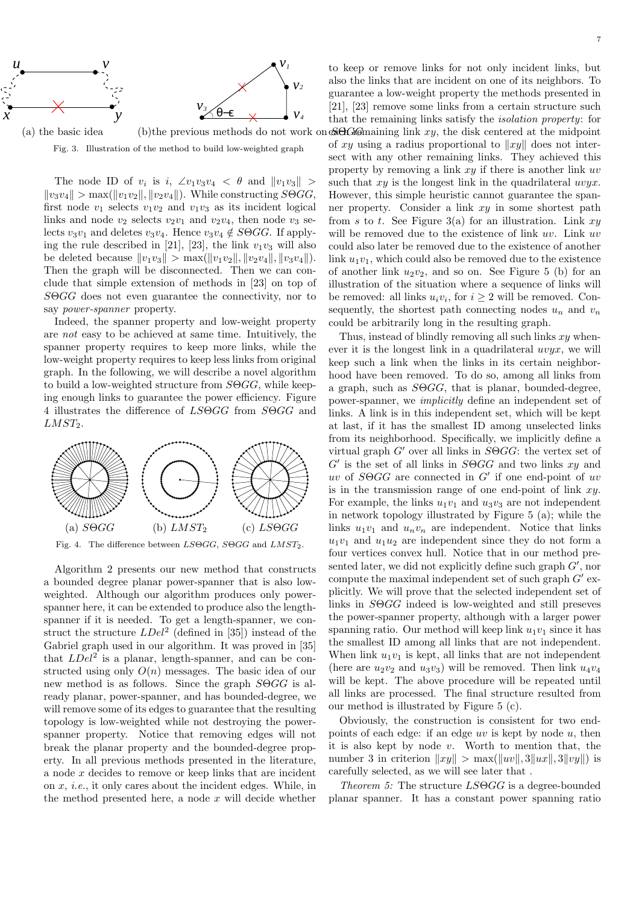

 $(a)$  the basic idea  $(b)$ the previous methods do not work on Fig. 3. Illustration of the method to build low-weighted graph

The node ID of  $v_i$  is i,  $\angle v_1v_3v_4 < \theta$  and  $||v_1v_3||$  >  $||v_3v_4|| > \max(||v_1v_2||, ||v_2v_4||)$ . While constructing  $S\Theta GG$ , first node  $v_1$  selects  $v_1v_2$  and  $v_1v_3$  as its incident logical links and node  $v_2$  selects  $v_2v_1$  and  $v_2v_4$ , then node  $v_3$  selects  $v_3v_1$  and deletes  $v_3v_4$ . Hence  $v_3v_4 \notin S\Theta GG$ . If applying the rule described in [21], [23], the link  $v_1v_3$  will also be deleted because  $||v_1v_3|| > \max(||v_1v_2||, ||v_2v_4||, ||v_3v_4||).$ Then the graph will be disconnected. Then we can conclude that simple extension of methods in [23] on top of SOGG does not even guarantee the connectivity, nor to say power-spanner property.

Indeed, the spanner property and low-weight property are not easy to be achieved at same time. Intuitively, the spanner property requires to keep more links, while the low-weight property requires to keep less links from original graph. In the following, we will describe a novel algorithm to build a low-weighted structure from  $S \Theta G G$ , while keeping enough links to guarantee the power efficiency. Figure 4 illustrates the difference of LSΘGG from SΘGG and  $LMST<sub>2</sub>$ .



Fig. 4. The difference between  $LS\Theta GG$ ,  $S\Theta GG$  and  $LMST_2$ .

Algorithm 2 presents our new method that constructs a bounded degree planar power-spanner that is also lowweighted. Although our algorithm produces only powerspanner here, it can be extended to produce also the lengthspanner if it is needed. To get a length-spanner, we construct the structure  $LDel^2$  (defined in [35]) instead of the Gabriel graph used in our algorithm. It was proved in [35] that  $LDel^2$  is a planar, length-spanner, and can be constructed using only  $O(n)$  messages. The basic idea of our new method is as follows. Since the graph SΘGG is already planar, power-spanner, and has bounded-degree, we will remove some of its edges to guarantee that the resulting topology is low-weighted while not destroying the powerspanner property. Notice that removing edges will not break the planar property and the bounded-degree property. In all previous methods presented in the literature, a node x decides to remove or keep links that are incident on x, i.e., it only cares about the incident edges. While, in the method presented here, a node  $x$  will decide whether

to keep or remove links for not only incident links, but also the links that are incident on one of its neighbors. To guarantee a low-weight property the methods presented in [21], [23] remove some links from a certain structure such that the remaining links satisfy the isolation property: for each remaining link xy, the disk centered at the midpoint of xy using a radius proportional to  $||xy||$  does not intersect with any other remaining links. They achieved this property by removing a link xy if there is another link uv such that  $xy$  is the longest link in the quadrilateral  $uvyx$ . However, this simple heuristic cannot guarantee the spanner property. Consider a link xy in some shortest path from s to t. See Figure 3(a) for an illustration. Link  $xy$ will be removed due to the existence of link uv. Link uv could also later be removed due to the existence of another link  $u_1v_1$ , which could also be removed due to the existence of another link  $u_2v_2$ , and so on. See Figure 5 (b) for an illustration of the situation where a sequence of links will be removed: all links  $u_i v_i$ , for  $i \geq 2$  will be removed. Consequently, the shortest path connecting nodes  $u_n$  and  $v_n$ could be arbitrarily long in the resulting graph.

Thus, instead of blindly removing all such links  $xy$  whenever it is the longest link in a quadrilateral  $uvyx$ , we will keep such a link when the links in its certain neighborhood have been removed. To do so, among all links from a graph, such as  $S\Theta GG$ , that is planar, bounded-degree, power-spanner, we implicitly define an independent set of links. A link is in this independent set, which will be kept at last, if it has the smallest ID among unselected links from its neighborhood. Specifically, we implicitly define a virtual graph  $G'$  over all links in  $S\Theta GG$ : the vertex set of  $G'$  is the set of all links in  $S\Theta GG$  and two links  $xy$  and  $uv$  of  $S\Theta GG$  are connected in  $G'$  if one end-point of uv is in the transmission range of one end-point of link  $xy$ . For example, the links  $u_1v_1$  and  $u_3v_3$  are not independent in network topology illustrated by Figure 5 (a); while the links  $u_1v_1$  and  $u_nv_n$  are independent. Notice that links  $u_1v_1$  and  $u_1u_2$  are independent since they do not form a four vertices convex hull. Notice that in our method presented later, we did not explicitly define such graph  $G'$ , nor compute the maximal independent set of such graph  $G'$  explicitly. We will prove that the selected independent set of links in SΘGG indeed is low-weighted and still preseves the power-spanner property, although with a larger power spanning ratio. Our method will keep link  $u_1v_1$  since it has the smallest ID among all links that are not independent. When link  $u_1v_1$  is kept, all links that are not independent (here are  $u_2v_2$  and  $u_3v_3$ ) will be removed. Then link  $u_4v_4$ will be kept. The above procedure will be repeated until all links are processed. The final structure resulted from our method is illustrated by Figure 5 (c).

Obviously, the construction is consistent for two endpoints of each edge: if an edge  $uv$  is kept by node  $u$ , then it is also kept by node  $v$ . Worth to mention that, the number 3 in criterion  $||xy|| > \max(||uv||, 3||ux||, 3||vy||)$  is carefully selected, as we will see later that .

Theorem 5: The structure  $LS\Theta GG$  is a degree-bounded planar spanner. It has a constant power spanning ratio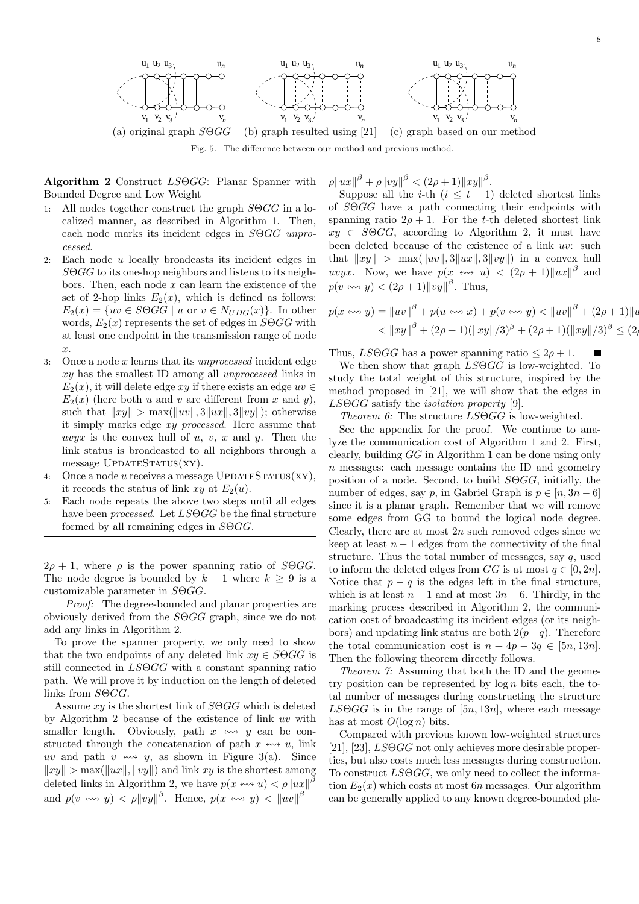

Algorithm 2 Construct LSΘGG: Planar Spanner with Bounded Degree and Low Weight

- 1: All nodes together construct the graph  $S\Theta G$  in a localized manner, as described in Algorithm 1. Then, each node marks its incident edges in  $S\Theta GG$  unprocessed.
- 2: Each node u locally broadcasts its incident edges in SΘGG to its one-hop neighbors and listens to its neighbors. Then, each node  $x$  can learn the existence of the set of 2-hop links  $E_2(x)$ , which is defined as follows:  $E_2(x) = \{uv \in S\Theta GG \mid u \text{ or } v \in N_{UDG}(x)\}.$  In other words,  $E_2(x)$  represents the set of edges in  $S\Theta G$  with at least one endpoint in the transmission range of node x.
- 3: Once a node x learns that its unprocessed incident edge xy has the smallest ID among all unprocessed links in  $E_2(x)$ , it will delete edge xy if there exists an edge  $uv \in$  $E_2(x)$  (here both u and v are different from x and y), such that  $||xy|| > \max(||uv||, 3||ux||, 3||vy||)$ ; otherwise it simply marks edge xy processed. Here assume that uvyx is the convex hull of  $u, v, x$  and  $y$ . Then the link status is broadcasted to all neighbors through a  $message$   $UPDATESTATUS(XY)$ .
- 4: Once a node u receives a message  $UPDATESTrATUS(XY)$ , it records the status of link  $xy$  at  $E_2(u)$ .
- 5: Each node repeats the above two steps until all edges have been *processed*. Let  $LSOGG$  be the final structure formed by all remaining edges in SΘGG.

 $2\rho + 1$ , where  $\rho$  is the power spanning ratio of SOGG. The node degree is bounded by  $k - 1$  where  $k \geq 9$  is a customizable parameter in SΘGG.

Proof: The degree-bounded and planar properties are obviously derived from the SΘGG graph, since we do not add any links in Algorithm 2.

To prove the spanner property, we only need to show that the two endpoints of any deleted link  $xy \in S \ominus GG$  is still connected in LSΘGG with a constant spanning ratio path. We will prove it by induction on the length of deleted links from SΘGG.

Assume  $xy$  is the shortest link of  $S\Theta GG$  which is deleted by Algorithm 2 because of the existence of link uv with smaller length. Obviously, path  $x \leftrightarrow y$  can be constructed through the concatenation of path  $x \leftrightarrow u$ , link uv and path v  $\leftrightarrow$  y, as shown in Figure 3(a). Since  $\|xy\| > \max(\|ux\|, \|vy\|)$  and link xy is the shortest among deleted links in Algorithm 2, we have  $p(x \leftrightarrow u) < \rho ||ux||^{\beta}$ and  $p(v \leftrightarrow y) < \rho ||vy||^{\beta}$ . Hence,  $p(x \leftrightarrow y) < ||uv||^{\beta}$  +

 $\rho \|ux\|^{\beta} + \rho \|vy\|^{\beta} < (2\rho + 1) \|xy\|^{\beta}.$ 

Suppose all the *i*-th  $(i \leq t-1)$  deleted shortest links of SΘGG have a path connecting their endpoints with spanning ratio  $2\rho + 1$ . For the t-th deleted shortest link  $xy \in S \Theta G G$ , according to Algorithm 2, it must have been deleted because of the existence of a link uv: such that  $||xy|| > \max(||uv||, 3||ux||, 3||vy||)$  in a convex hull uvyx. Now, we have  $p(x \leftrightarrow u) < (2\rho + 1) ||ux||^{\beta}$  and  $p(v \leftrightarrow y) < (2\rho + 1) ||vy||^{\beta}$ . Thus,

$$
p(x \leftrightarrow y) = ||uv||^{\beta} + p(u \leftrightarrow x) + p(v \leftrightarrow y) < ||uv||^{\beta} + (2\rho + 1)||u
$$
  

$$
< ||xy||^{\beta} + (2\rho + 1)(||xy||/3)^{\beta} + (2\rho + 1)(||xy||/3)^{\beta} \le (2\rho + 1)(||xy||/3)^{\beta} \le (2\rho + 1)(||xy||/3)^{\beta} \le (2\rho + 1)(||xy||/3)^{\beta} \le (2\rho + 1)(||xy||/3)^{\beta} \le (2\rho + 1)(||xy||/3)^{\beta} \le (2\rho + 1)(||xy||/3)^{\beta} \le (2\rho + 1)(||xy||/3)^{\beta} \le (2\rho + 1)(||xy||/3)^{\beta} \le (2\rho + 1)(||xy||/3)^{\beta} \le (2\rho + 1)(||xy||/3)^{\beta} \le (2\rho + 1)(||xy||/3)^{\beta} \le (2\rho + 1)(||xy||/3)^{\beta} \le (2\rho + 1)(||xy||/3)^{\beta} \le (2\rho + 1)(||xy||/3)^{\beta} \le (2\rho + 1)(||xy||/3)^{\beta} \le (2\rho + 1)(||xy||/3)^{\beta} \le (2\rho + 1)(||xy||/3)^{\beta} \le (2\rho + 1)(||xy||/3)^{\beta} \le (2\rho + 1)(||xy||/3)^{\beta} \le (2\rho + 1)(||xy||/3)^{\beta} \le (2\rho + 1)(||xy||/3)^{\beta} \le (2\rho + 1)(||xy||/3)^{\beta} \le (2\rho + 1)(||xy||/3)^{\beta} \le (2\rho + 1)(||xy||/3)^{\beta} \le (2\rho + 1)(||xy||/3)^{\beta} \le (2\rho + 1)(||xy||/3)^{\beta} \le (2\rho + 1)(||xy||/3)^{\beta} \le (2\rho + 1)(||xy||/3)^{\beta} \le (2\rho + 1)(||xy||/3)^{\beta} \le (2\rho + 1)(||xy||/3)^{\beta} \le (2\rho + 1)(||xy||/3)^{\beta} \le (2\rho + 1)(||xy||/3)^{\beta} \le (2\rho + 1)(||xy||/3)^{\beta} \le (2\rho + 1)(||xy||/3)^{\beta} \le (2\rho + 1)(||xy||/
$$

Thus,  $LS\Theta GG$  has a power spanning ratio  $\leq 2\rho + 1$ .

We then show that graph  $LS\Theta GG$  is low-weighted. To study the total weight of this structure, inspired by the method proposed in [21], we will show that the edges in  $LS\Theta GG$  satisfy the *isolation property* [9].

Theorem 6: The structure LSΘGG is low-weighted.

See the appendix for the proof. We continue to analyze the communication cost of Algorithm 1 and 2. First, clearly, building GG in Algorithm 1 can be done using only  $n$  messages: each message contains the ID and geometry position of a node. Second, to build SΘGG, initially, the number of edges, say p, in Gabriel Graph is  $p \in [n, 3n-6]$ since it is a planar graph. Remember that we will remove some edges from GG to bound the logical node degree. Clearly, there are at most  $2n$  such removed edges since we keep at least  $n - 1$  edges from the connectivity of the final structure. Thus the total number of messages, say  $q$ , used to inform the deleted edges from  $GG$  is at most  $q \in [0, 2n]$ . Notice that  $p - q$  is the edges left in the final structure, which is at least  $n-1$  and at most  $3n-6$ . Thirdly, in the marking process described in Algorithm 2, the communication cost of broadcasting its incident edges (or its neighbors) and updating link status are both  $2(p-q)$ . Therefore the total communication cost is  $n + 4p - 3q \in [5n, 13n]$ . Then the following theorem directly follows.

Theorem 7: Assuming that both the ID and the geometry position can be represented by  $\log n$  bits each, the total number of messages during constructing the structure  $LS\Theta GG$  is in the range of  $[5n, 13n]$ , where each message has at most  $O(\log n)$  bits.

Compared with previous known low-weighted structures [21], [23],  $LS\Theta GG$  not only achieves more desirable properties, but also costs much less messages during construction. To construct  $LSOGG$ , we only need to collect the information  $E_2(x)$  which costs at most 6n messages. Our algorithm can be generally applied to any known degree-bounded pla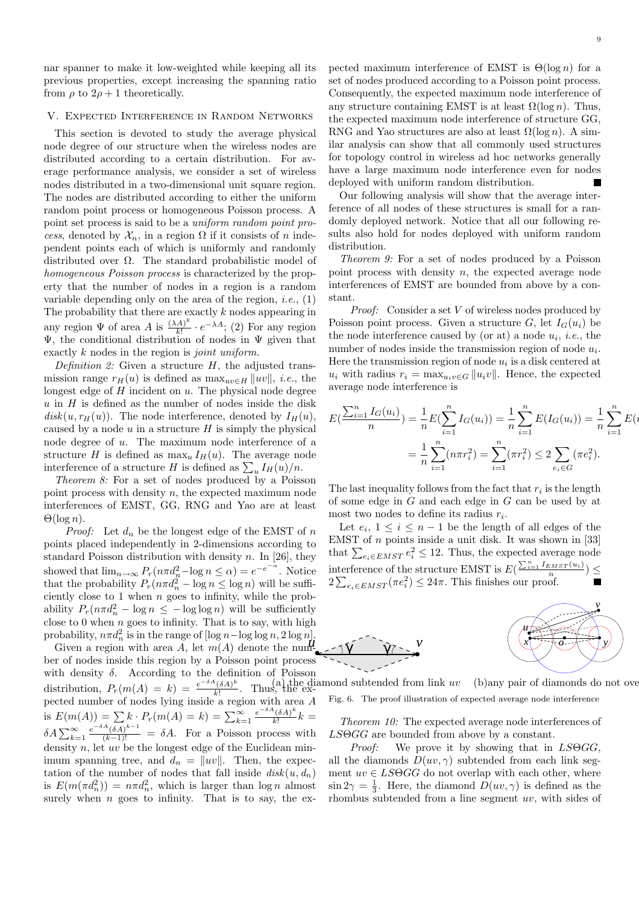nar spanner to make it low-weighted while keeping all its previous properties, except increasing the spanning ratio from  $\rho$  to  $2\rho + 1$  theoretically.

## V. Expected Interference in Random Networks

This section is devoted to study the average physical node degree of our structure when the wireless nodes are distributed according to a certain distribution. For average performance analysis, we consider a set of wireless nodes distributed in a two-dimensional unit square region. The nodes are distributed according to either the uniform random point process or homogeneous Poisson process. A point set process is said to be a uniform random point process, denoted by  $\mathcal{X}_n$ , in a region  $\Omega$  if it consists of n independent points each of which is uniformly and randomly distributed over Ω. The standard probabilistic model of homogeneous Poisson process is characterized by the property that the number of nodes in a region is a random variable depending only on the area of the region, *i.e.*,  $(1)$ The probability that there are exactly  $k$  nodes appearing in any region  $\Psi$  of area A is  $\frac{(\lambda A)^k}{k!}$  $\frac{(A)^k}{k!} \cdot e^{-\lambda A}$ ; (2) For any region  $\Psi$ , the conditional distribution of nodes in  $\Psi$  given that exactly k nodes in the region is *joint uniform*.

Definition 2: Given a structure  $H$ , the adjusted transmission range  $r_H(u)$  is defined as  $\max_{uv \in H} ||uv||$ , *i.e.*, the longest edge of  $H$  incident on  $u$ . The physical node degree  $u$  in  $H$  is defined as the number of nodes inside the disk  $disk(u, r_H(u))$ . The node interference, denoted by  $I_H(u)$ , caused by a node  $u$  in a structure  $H$  is simply the physical node degree of u. The maximum node interference of a structure H is defined as  $\max_u I_H(u)$ . The average node structure *H* is defined as  $\max_u I_H(u)$ . The average interference of a structure *H* is defined as  $\sum_u I_H(u)/n$ .

Theorem 8: For a set of nodes produced by a Poisson point process with density n, the expected maximum node interferences of EMST, GG, RNG and Yao are at least  $\Theta(\log n)$ .

*Proof:* Let  $d_n$  be the longest edge of the EMST of n points placed independently in 2-dimensions according to standard Poisson distribution with density n. In [26], they showed that  $\lim_{n\to\infty} P_r(n\pi d_n^2 - \log n \le \alpha) = e^{-e^{-\alpha}}$ . Notice that the probability  $P_r(n\pi d_n^2 - \log n \leq \log n)$  will be sufficiently close to 1 when  $n$  goes to infinity, while the probability  $P_r(n\pi d_n^2 - \log n \leq -\log \log n)$  will be sufficiently close to 0 when  $n$  goes to infinity. That is to say, with high probability,  $n\pi d_n^2$  is in the range of  $[\log n - \log \log n, 2 \log n]$ .

Given a region with area A, let  $m(A)$  denote the number of nodes inside this region by a Poisson point process with density  $\delta$ . According to the definition of Poisson distribution,  $P_r(m(A) = k) = \frac{e^{-\delta A} (\delta A)^k}{k!}$  $\frac{(\delta A)^n}{k!}$ . Thus, the expected number of nodes lying inside a region with area A is  $E(m(A)) = \sum k \cdot P_r(m(A) = k) = \sum_{k=1}^{\infty} \frac{e^{-\delta A}(\delta A)^k}{k!}$  $\frac{(\delta A)^n}{k!}k =$  $\delta A \sum_{k=1}^{\infty} \frac{e^{-\delta A} (\delta A)^{k-1}}{(k-1)!} = \delta A$ . For a Poisson process with density  $n$ , let  $uv$  be the longest edge of the Euclidean minimum spanning tree, and  $d_n = ||uv||$ . Then, the expectation of the number of nodes that fall inside  $disk(u, d_n)$ is  $E(m(\pi d_n^2)) = n\pi d_n^2$ , which is larger than  $\log n$  almost surely when  $n$  goes to infinity. That is to say, the expected maximum interference of EMST is  $\Theta(\log n)$  for a set of nodes produced according to a Poisson point process. Consequently, the expected maximum node interference of any structure containing EMST is at least  $\Omega(\log n)$ . Thus, the expected maximum node interference of structure GG, RNG and Yao structures are also at least  $\Omega(\log n)$ . A similar analysis can show that all commonly used structures for topology control in wireless ad hoc networks generally have a large maximum node interference even for nodes deployed with uniform random distribution.

Our following analysis will show that the average interference of all nodes of these structures is small for a randomly deployed network. Notice that all our following results also hold for nodes deployed with uniform random distribution.

Theorem 9: For a set of nodes produced by a Poisson point process with density  $n$ , the expected average node interferences of EMST are bounded from above by a constant.

Proof: Consider a set V of wireless nodes produced by Poisson point process. Given a structure G, let  $I_G(u_i)$  be the node interference caused by (or at) a node  $u_i$ , *i.e.*, the number of nodes inside the transmission region of node  $u_i$ . Here the transmission region of node  $u_i$  is a disk centered at  $u_i$  with radius  $r_i = \max_{u_i v \in G} ||u_i v||$ . Hence, the expected average node interference is

$$
E(\frac{\sum_{i=1}^{n} I_G(u_i)}{n}) = \frac{1}{n} E(\sum_{i=1}^{n} I_G(u_i)) = \frac{1}{n} \sum_{i=1}^{n} E(I_G(u_i)) = \frac{1}{n} \sum_{i=1}^{n} E(n\pi r_i^2) = \sum_{i=1}^{n} (\pi r_i^2) \le 2 \sum_{e_i \in G} (\pi e_i^2).
$$

The last inequality follows from the fact that  $r_i$  is the length of some edge in G and each edge in G can be used by at most two nodes to define its radius  $r_i$ .

Let  $e_i$ ,  $1 \leq i \leq n-1$  be the length of all edges of the EMST of  $n$  points inside a unit disk. It was shown in [33] EMST of *n* points inside a unit disk. It was shown in [33] that  $\sum_{e_i \in EMT} e_i^2 \le 12$ . Thus, the expected average node interference of the structure EMST is E( therefore of the structure EMST is  $E(\frac{\sum_{i=1}^{n} I_{EMST}(u_i)}{n_e}) \le$  $2\sum_{e_i \in EMST} (\pi e_i^2) \leq 24\pi$ . This finishes our proof.



 $(a)$  the diamond subtended from link uv (b)any pair of diamonds do not over Fig. 6. The proof illustration of expected average node interference

Theorem 10: The expected average node interferences of LSΘGG are bounded from above by a constant.

Proof: We prove it by showing that in LSΘGG, all the diamonds  $D(uv, \gamma)$  subtended from each link segment  $uv \in LSGGG$  do not overlap with each other, where  $\sin 2\gamma = \frac{1}{3}$ . Here, the diamond  $D(uv, \gamma)$  is defined as the rhombus subtended from a line segment uv, with sides of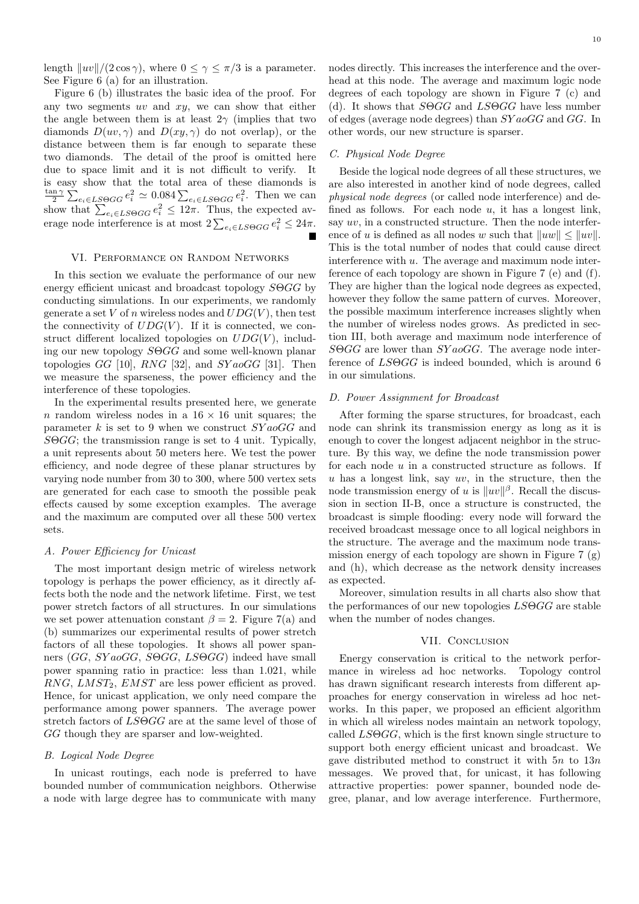length  $\|uv\|/(2 \cos \gamma)$ , where  $0 \leq \gamma \leq \pi/3$  is a parameter. See Figure 6 (a) for an illustration.

Figure 6 (b) illustrates the basic idea of the proof. For any two segments  $uv$  and  $xy$ , we can show that either the angle between them is at least  $2\gamma$  (implies that two diamonds  $D(uv, \gamma)$  and  $D(xy, \gamma)$  do not overlap), or the distance between them is far enough to separate these two diamonds. The detail of the proof is omitted here due to space limit and it is not difficult to verify. It is easy show that the total area of these diamonds is  $rac{\tan \gamma}{2}$ is easy show that the total area of these diamonds is<br>  $\frac{\tan \gamma}{2} \sum_{e_i \in LSGGG} e_i^2 \simeq 0.084 \sum_{e_i \in LSGGG} e_i^2$ . Then we can<br>
show that  $\sum_{e_i \in LSGGG} e_i^2 \leq 12\pi$ . Thus, the expected avshow that  $\sum_{e_i \in L S \Theta GG} e_i \ge 12\pi$ . Thus, the expected average node interference is at most  $2\sum_{e_i \in L S \Theta GG} e_i^2 \le 24\pi$ .

# VI. Performance on Random Networks

In this section we evaluate the performance of our new energy efficient unicast and broadcast topology  $S \Theta G G$  by conducting simulations. In our experiments, we randomly generate a set V of n wireless nodes and  $UDG(V)$ , then test the connectivity of  $UDG(V)$ . If it is connected, we construct different localized topologies on  $UDG(V)$ , including our new topology SΘGG and some well-known planar topologies  $GG$  [10], RNG [32], and  $SYa_0GG$  [31]. Then we measure the sparseness, the power efficiency and the interference of these topologies.

In the experimental results presented here, we generate n random wireless nodes in a  $16 \times 16$  unit squares; the parameter k is set to 9 when we construct  $SYaoGG$  and SΘGG; the transmission range is set to 4 unit. Typically, a unit represents about 50 meters here. We test the power efficiency, and node degree of these planar structures by varying node number from 30 to 300, where 500 vertex sets are generated for each case to smooth the possible peak effects caused by some exception examples. The average and the maximum are computed over all these 500 vertex sets.

#### A. Power Efficiency for Unicast

The most important design metric of wireless network topology is perhaps the power efficiency, as it directly affects both the node and the network lifetime. First, we test power stretch factors of all structures. In our simulations we set power attenuation constant  $\beta = 2$ . Figure 7(a) and (b) summarizes our experimental results of power stretch factors of all these topologies. It shows all power spanners (GG, SY aoGG, SOGG, LSOGG) indeed have small power spanning ratio in practice: less than 1.021, while  $RNG, L MST_2, EMST$  are less power efficient as proved. Hence, for unicast application, we only need compare the performance among power spanners. The average power stretch factors of  $LS\Theta GG$  are at the same level of those of GG though they are sparser and low-weighted.

#### B. Logical Node Degree

In unicast routings, each node is preferred to have bounded number of communication neighbors. Otherwise a node with large degree has to communicate with many nodes directly. This increases the interference and the overhead at this node. The average and maximum logic node degrees of each topology are shown in Figure 7 (c) and (d). It shows that  $S\Theta GG$  and  $LS\Theta GG$  have less number of edges (average node degrees) than SY aoGG and GG. In other words, our new structure is sparser.

## C. Physical Node Degree

Beside the logical node degrees of all these structures, we are also interested in another kind of node degrees, called physical node degrees (or called node interference) and defined as follows. For each node  $u$ , it has a longest link, say uv, in a constructed structure. Then the node interference of u is defined as all nodes w such that  $||uw|| \le ||uv||$ . This is the total number of nodes that could cause direct interference with u. The average and maximum node interference of each topology are shown in Figure 7 (e) and (f). They are higher than the logical node degrees as expected, however they follow the same pattern of curves. Moreover, the possible maximum interference increases slightly when the number of wireless nodes grows. As predicted in section III, both average and maximum node interference of  $S\Theta GG$  are lower than  $SYaoGG$ . The average node interference of LSΘGG is indeed bounded, which is around 6 in our simulations.

# D. Power Assignment for Broadcast

After forming the sparse structures, for broadcast, each node can shrink its transmission energy as long as it is enough to cover the longest adjacent neighbor in the structure. By this way, we define the node transmission power for each node  $u$  in a constructed structure as follows. If u has a longest link, say  $uv$ , in the structure, then the node transmission energy of u is  $||uv||^{\beta}$ . Recall the discussion in section II-B, once a structure is constructed, the broadcast is simple flooding: every node will forward the received broadcast message once to all logical neighbors in the structure. The average and the maximum node transmission energy of each topology are shown in Figure 7 (g) and (h), which decrease as the network density increases as expected.

Moreover, simulation results in all charts also show that the performances of our new topologies LSΘGG are stable when the number of nodes changes.

#### VII. CONCLUSION

Energy conservation is critical to the network performance in wireless ad hoc networks. Topology control has drawn significant research interests from different approaches for energy conservation in wireless ad hoc networks. In this paper, we proposed an efficient algorithm in which all wireless nodes maintain an network topology, called LSΘGG, which is the first known single structure to support both energy efficient unicast and broadcast. We gave distributed method to construct it with  $5n$  to  $13n$ messages. We proved that, for unicast, it has following attractive properties: power spanner, bounded node degree, planar, and low average interference. Furthermore,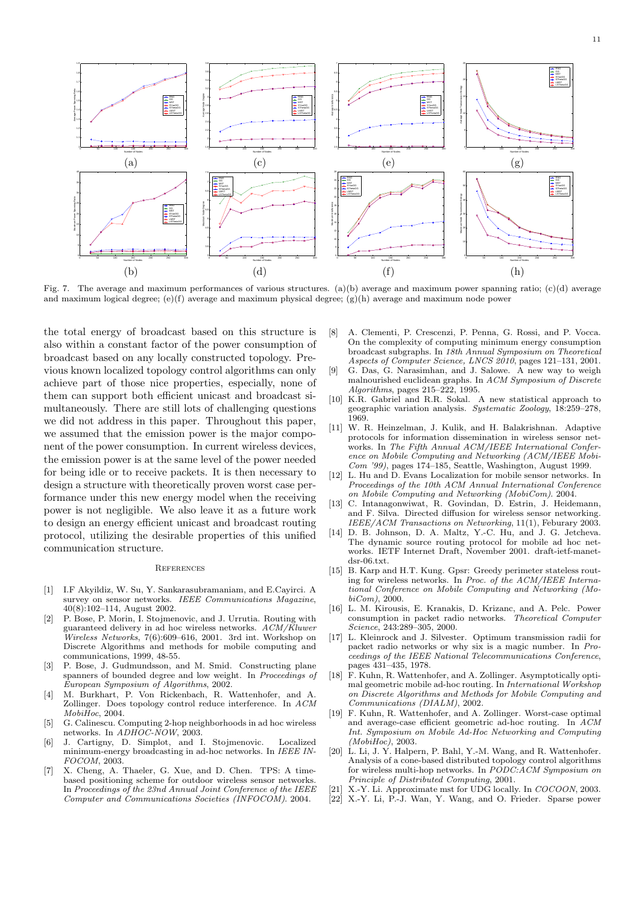

Fig. 7. The average and maximum performances of various structures. (a)(b) average and maximum power spanning ratio; (c)(d) average and maximum logical degree; (e)(f) average and maximum physical degree;  $(g)(h)$  average and maximum node power

the total energy of broadcast based on this structure is also within a constant factor of the power consumption of broadcast based on any locally constructed topology. Previous known localized topology control algorithms can only achieve part of those nice properties, especially, none of them can support both efficient unicast and broadcast simultaneously. There are still lots of challenging questions we did not address in this paper. Throughout this paper, we assumed that the emission power is the major component of the power consumption. In current wireless devices, the emission power is at the same level of the power needed for being idle or to receive packets. It is then necessary to design a structure with theoretically proven worst case performance under this new energy model when the receiving power is not negligible. We also leave it as a future work to design an energy efficient unicast and broadcast routing protocol, utilizing the desirable properties of this unified communication structure.

#### **REFERENCES**

- [1] I.F Akyildiz, W. Su, Y. Sankarasubramaniam, and E.Cayirci. A survey on sensor networks. IEEE Communications Magazine, 40(8):102–114, August 2002.
- [2] P. Bose, P. Morin, I. Stojmenovic, and J. Urrutia. Routing with guaranteed delivery in ad hoc wireless networks. ACM/Kluwer Wireless Networks, 7(6):609–616, 2001. 3rd int. Workshop on Discrete Algorithms and methods for mobile computing and communications, 1999, 48-55.
- [3] P. Bose, J. Gudmundsson, and M. Smid. Constructing plane spanners of bounded degree and low weight. In Proceedings of European Symposium of Algorithms, 2002.
- [4] M. Burkhart, P. Von Rickenbach, R. Wattenhofer, and A. Zollinger. Does topology control reduce interference. In ACM MobiHoc, 2004.
- [5] G. Calinescu. Computing 2-hop neighborhoods in ad hoc wireless networks. In ADHOC-NOW, 2003.
- [6] J. Cartigny, D. Simplot, and I. Stojmenovic. Localized minimum-energy broadcasting in ad-hoc networks. In IEEE IN-FOCOM, 2003.
- [7] X. Cheng, A. Thaeler, G. Xue, and D. Chen. TPS: A timebased positioning scheme for outdoor wireless sensor networks. In Proceedings of the 23nd Annual Joint Conference of the IEEE Computer and Communications Societies (INFOCOM). 2004.
- [8] A. Clementi, P. Crescenzi, P. Penna, G. Rossi, and P. Vocca. On the complexity of computing minimum energy consumption broadcast subgraphs. In 18th Annual Symposium on Theoretical Aspects of Computer Science, LNCS 2010, pages 121-131, 2001.
- [9] G. Das, G. Narasimhan, and J. Salowe. A new way to weigh malnourished euclidean graphs. In ACM Symposium of Discrete Algorithms, pages 215–222, 1995.
- [10] K.R. Gabriel and R.R. Sokal. A new statistical approach to geographic variation analysis. Systematic Zoology, 18:259–278, 1969.
- [11] W. R. Heinzelman, J. Kulik, and H. Balakrishnan. Adaptive protocols for information dissemination in wireless sensor networks. In The Fifth Annual ACM/IEEE International Conference on Mobile Computing and Networking (ACM/IEEE Mobi-Com '99), pages 174–185, Seattle, Washington, August 1999.
- [12] L. Hu and D. Evans Localization for mobile sensor networks. In Proceedings of the 10th ACM Annual International Conference on Mobile Computing and Networking (MobiCom). 2004.
- [13] C. Intanagonwiwat, R. Govindan, D. Estrin, J. Heidemann, and F. Silva. Directed diffusion for wireless sensor networking. IEEE/ACM Transactions on Networking, 11(1), Feburary 2003.
- [14] D. B. Johnson, D. A. Maltz, Y.-C. Hu, and J. G. Jetcheva. The dynamic source routing protocol for mobile ad hoc networks. IETF Internet Draft, November 2001. draft-ietf-manetdsr-06.txt.
- [15] B. Karp and H.T. Kung. Gpsr: Greedy perimeter stateless routing for wireless networks. In Proc. of the ACM/IEEE International Conference on Mobile Computing and Networking (MobiCom), 2000.
- [16] L. M. Kirousis, E. Kranakis, D. Krizanc, and A. Pelc. Power consumption in packet radio networks. Theoretical Computer Science, 243:289–305, 2000.
- [17] L. Kleinrock and J. Silvester. Optimum transmission radii for packet radio networks or why six is a magic number. In Proceedings of the IEEE National Telecommunications Conference, pages 431–435, 1978.
- [18] F. Kuhn, R. Wattenhofer, and A. Zollinger. Asymptotically optimal geometric mobile ad-hoc routing. In International Workshop on Discrete Algorithms and Methods for Mobile Computing and Communications (DIALM), 2002.
- [19] F. Kuhn, R. Wattenhofer, and A. Zollinger. Worst-case optimal and average-case efficient geometric ad-hoc routing. In ACM Int. Symposium on Mobile Ad-Hoc Networking and Computing (MobiHoc), 2003.
- [20] L. Li, J. Y. Halpern, P. Bahl, Y.-M. Wang, and R. Wattenhofer. Analysis of a cone-based distributed topology control algorithms for wireless multi-hop networks. In PODC:ACM Symposium on Principle of Distributed Computing, 2001.
- X.-Y. Li. Approximate mst for UDG locally. In COCOON, 2003.
- [22] X.-Y. Li, P.-J. Wan, Y. Wang, and O. Frieder. Sparse power